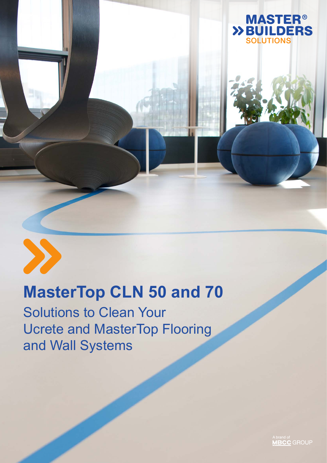

## **MasterTop CLN 50 and 70**

Solutions to Clean Your Ucrete and MasterTop Flooring and Wall Systems

A brand of<br>**MBCC** GROUP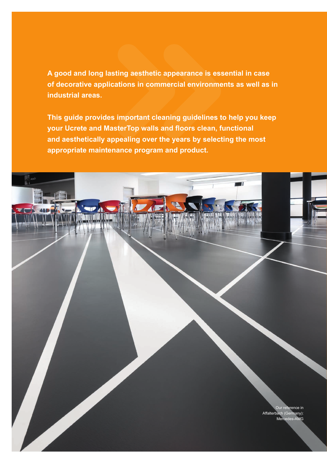**A good and long lasting aesthetic appearance is essential in case of decorative applications in commercial environments as well as in industrial areas.**

**This guide provides important cleaning guidelines to help you keep your Ucrete and MasterTop walls and floors clean, functional and aesthetically appealing over the years by selecting the most appropriate maintenance program and product.**

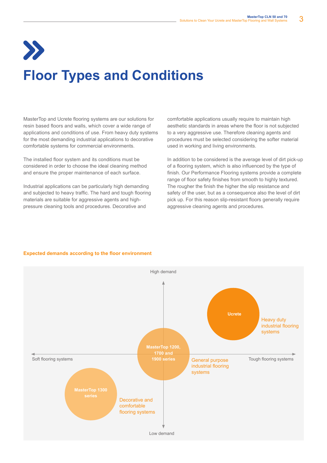## **Floor Types and Conditions**

MasterTop and Ucrete flooring systems are our solutions for resin based floors and walls, which cover a wide range of applications and conditions of use. From heavy duty systems for the most demanding industrial applications to decorative comfortable systems for commercial environments.

The installed floor system and its conditions must be considered in order to choose the ideal cleaning method and ensure the proper maintenance of each surface.

Industrial applications can be particularly high demanding and subjected to heavy traffic. The hard and tough flooring materials are suitable for aggressive agents and highpressure cleaning tools and procedures. Decorative and

comfortable applications usually require to maintain high aesthetic standards in areas where the floor is not subjected to a very aggressive use. Therefore cleaning agents and procedures must be selected considering the softer material used in working and living environments.

In addition to be considered is the average level of dirt pick-up of a flooring system, which is also influenced by the type of finish. Our Performance Flooring systems provide a complete range of floor safety finishes from smooth to highly textured. The rougher the finish the higher the slip resistance and safety of the user, but as a consequence also the level of dirt pick up. For this reason slip-resistant floors generally require aggressive cleaning agents and procedures.

#### **Expected demands according to the floor environment**

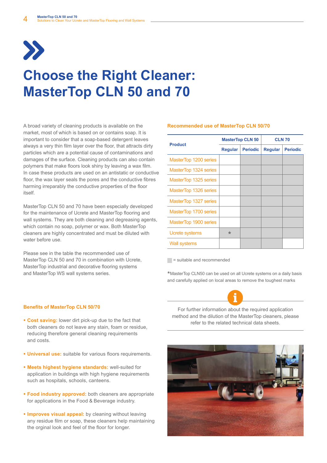

### **Choose the Right Cleaner: MasterTop CLN 50 and 70**

A broad variety of cleaning products is available on the market, most of which is based on or contains soap. It is important to consider that a soap-based detergent leaves always a very thin film layer over the floor, that attracts dirty particles which are a potential cause of contaminations and damages of the surface. Cleaning products can also contain polymers that make floors look shiny by leaving a wax film. In case these products are used on an antistatic or conductive floor, the wax layer seals the pores and the conductive fibres harming irreparably the conductive properties of the floor itself.

MasterTop CLN 50 and 70 have been especially developed for the maintenance of Ucrete and MasterTop flooring and wall systems. They are both cleaning and degreasing agents, which contain no soap, polymer or wax. Both MasterTop cleaners are highly concentrated and must be diluted with water before use.

Please see in the table the recommended use of MasterTop CLN 50 and 70 in combination with Ucrete, MasterTop industrial and decorative flooring systems and MasterTop WS wall systems series.

### **Recommended use of MasterTop CLN 50/70**

| <b>Product</b>        | <b>MasterTop CLN 50</b> |                 | <b>CLN 70</b>  |                 |
|-----------------------|-------------------------|-----------------|----------------|-----------------|
|                       | <b>Regular</b>          | <b>Periodic</b> | <b>Regular</b> | <b>Periodic</b> |
| MasterTop 1200 series |                         |                 |                |                 |
| MasterTop 1324 series |                         |                 |                |                 |
| MasterTop 1325 series |                         |                 |                |                 |
| MasterTop 1326 series |                         |                 |                |                 |
| MasterTop 1327 series |                         |                 |                |                 |
| MasterTop 1700 series |                         |                 |                |                 |
| MasterTop 1900 series |                         |                 |                |                 |
| Ucrete systems        | $\star$                 |                 |                |                 |
| Wall systems          |                         |                 |                |                 |

 $=$  suitable and recommended

\*MasterTop CLN50 can be used on all Ucrete systems on a daily basis and carefully applied on local areas to remove the toughest marks



For further information about the required application method and the dilution of the MasterTop cleaners, please refer to the related technical data sheets.



#### **Benefits of MasterTop CLN 50/70**

- **Cost saving:** lower dirt pick-up due to the fact that both cleaners do not leave any stain, foam or residue, reducing therefore general cleaning requirements and costs.
- **Universal use:** suitable for various floors requirements.
- § **Meets highest hygiene standards:** well-suited for application in buildings with high hygiene requirements such as hospitals, schools, canteens.
- **Food industry approved:** both cleaners are appropriate for applications in the Food & Beverage industry.
- **Improves visual appeal:** by cleaning without leaving any residue film or soap, these cleaners help maintaining the orginal look and feel of the floor for longer.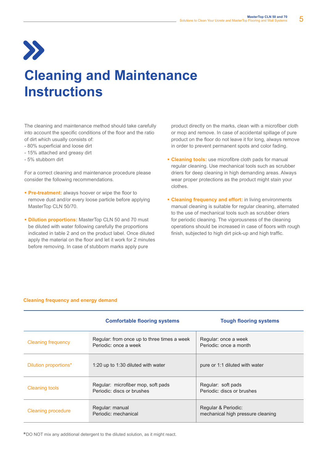## $\sum$

### **Cleaning and Maintenance Instructions**

The cleaning and maintenance method should take carefully into account the specific conditions of the floor and the ratio of dirt which usually consists of:

- 80% superficial and loose dirt
- 15% attached and greasy dirt
- 5% stubborn dirt

For a correct cleaning and maintenance procedure please consider the following recommendations.

- **Pre-treatment:** always hoover or wipe the floor to remove dust and/or every loose particle before applying MasterTop CLN 50/70.
- § **Dilution proportions:** MasterTop CLN 50 and 70 must be diluted with water following carefully the proportions indicated in table 2 and on the product label. Once diluted apply the material on the floor and let it work for 2 minutes before removing. In case of stubborn marks apply pure

product directly on the marks, clean with a microfiber cloth or mop and remove. In case of accidental spillage of pure product on the floor do not leave it for long, always remove in order to prevent permanent spots and color fading.

- **Cleaning tools:** use microfibre cloth pads for manual regular cleaning. Use mechanical tools such as scrubber driers for deep cleaning in high demanding areas. Always wear proper protections as the product might stain your clothes.
- **E Cleaning frequency and effort:** in living environments manual cleaning is suitable for regular cleaning, alternated to the use of mechanical tools such as scrubber driers for periodic cleaning. The vigorousness of the cleaning operations should be increased in case of floors with rough finish, subjected to high dirt pick-up and high traffic.

#### **Cleaning frequency and energy demand**

|                           | <b>Comfortable flooring systems</b>                                  | <b>Tough flooring systems</b>                            |  |
|---------------------------|----------------------------------------------------------------------|----------------------------------------------------------|--|
| <b>Cleaning frequency</b> | Regular: from once up to three times a week<br>Periodic: once a week | Regular: once a week<br>Periodic: once a month           |  |
| Dilution proportions*     | 1:20 up to 1:30 diluted with water                                   | pure or 1:1 diluted with water                           |  |
| <b>Cleaning tools</b>     | Regular: microfiber mop, soft pads<br>Periodic: discs or brushes     | Regular: soft pads<br>Periodic: discs or brushes         |  |
| Cleaning procedure        | Regular: manual<br>Periodic: mechanical                              | Regular & Periodic:<br>mechanical high pressure cleaning |  |

\*DO NOT mix any additional detergent to the diluted solution, as it might react.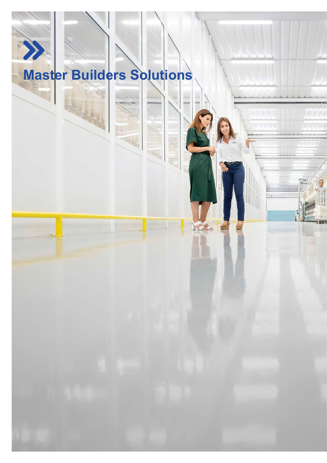# $\lambda$ **Master Builders Solutions**

Solutions to Clean Your Ucrete and MasterTop Flooring and Wall Systems

6 **MasterTop CLN 50 and 70**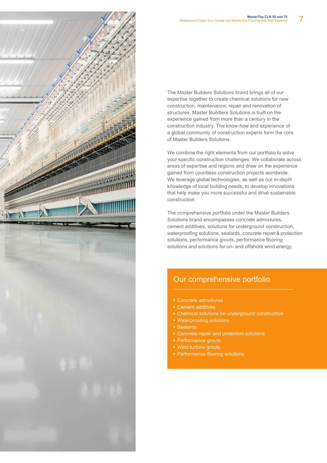

The Master Builders Solutions brand brings all of our expertise together to create chemical solutions for new construction, maintenance, repair and renovation of structures. Master Buildters Solutions is built on the experience gained from more than a century in the construction industry. The know-how and experience of a global community of construction experts form the core of Master Builders Solutions.

We combine the right elements from our portfolio to solve your specific construction challenges. We collaborate across areas of expertise and regions and draw on the experience gained from countless construction projects worldwide. We leverage global technologies, as well as our in-depth knowledge of local building needs, to develop innovations that help make you more successful and drive sustainable construction.

The comprehensive portfolio under the Master Builders Solutions brand encompasses concrete admixtures, cement additives, solutions for underground construction, waterproofing solutions, sealants, concrete repair & protection solutions, performance grouts, performance flooring solutions and solutions for on- and offshore wind energy.

### Our comprehensive portfolio

- Concrete admixtures
- Cement additives
- Chemical solutions for underground construction
- **Waterproofing solutions**
- Sealants
- Concrete repair and protection solutions
- **Performance grouts**
- Wind turbine grouts
- **Performance flooring solutions**